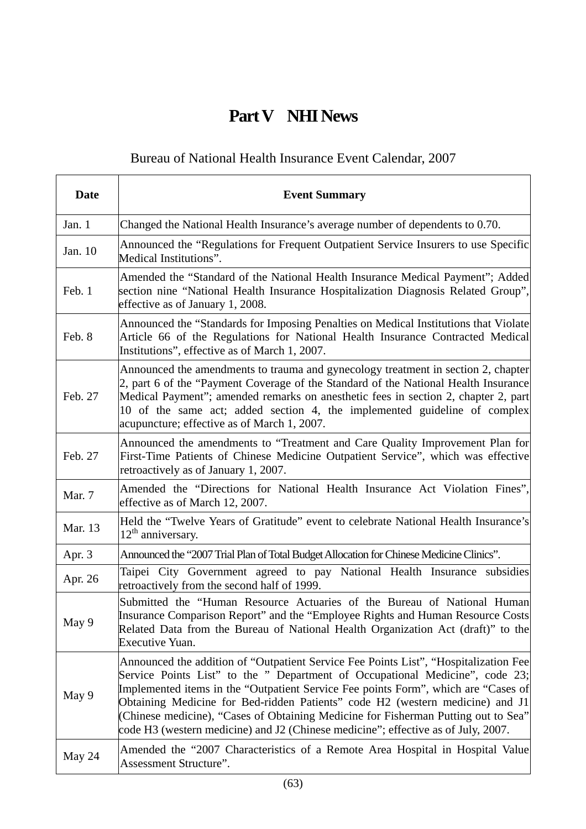## **Part V NHI News**

## Bureau of National Health Insurance Event Calendar, 2007

| <b>Date</b> | <b>Event Summary</b>                                                                                                                                                                                                                                                                                                                                                                                                                                                                                                   |
|-------------|------------------------------------------------------------------------------------------------------------------------------------------------------------------------------------------------------------------------------------------------------------------------------------------------------------------------------------------------------------------------------------------------------------------------------------------------------------------------------------------------------------------------|
| Jan. 1      | Changed the National Health Insurance's average number of dependents to 0.70.                                                                                                                                                                                                                                                                                                                                                                                                                                          |
| Jan. 10     | Announced the "Regulations for Frequent Outpatient Service Insurers to use Specific<br>Medical Institutions".                                                                                                                                                                                                                                                                                                                                                                                                          |
| Feb. 1      | Amended the "Standard of the National Health Insurance Medical Payment"; Added<br>section nine "National Health Insurance Hospitalization Diagnosis Related Group",<br>effective as of January 1, 2008.                                                                                                                                                                                                                                                                                                                |
| Feb. 8      | Announced the "Standards for Imposing Penalties on Medical Institutions that Violate<br>Article 66 of the Regulations for National Health Insurance Contracted Medical<br>Institutions", effective as of March 1, 2007.                                                                                                                                                                                                                                                                                                |
| Feb. 27     | Announced the amendments to trauma and gynecology treatment in section 2, chapter<br>2, part 6 of the "Payment Coverage of the Standard of the National Health Insurance<br>Medical Payment"; amended remarks on anesthetic fees in section 2, chapter 2, part<br>10 of the same act; added section 4, the implemented guideline of complex<br>acupuncture; effective as of March 1, 2007.                                                                                                                             |
| Feb. 27     | Announced the amendments to "Treatment and Care Quality Improvement Plan for<br>First-Time Patients of Chinese Medicine Outpatient Service", which was effective<br>retroactively as of January 1, 2007.                                                                                                                                                                                                                                                                                                               |
| Mar. 7      | Amended the "Directions for National Health Insurance Act Violation Fines",<br>effective as of March 12, 2007.                                                                                                                                                                                                                                                                                                                                                                                                         |
| Mar. 13     | Held the "Twelve Years of Gratitude" event to celebrate National Health Insurance's<br>$12th$ anniversary.                                                                                                                                                                                                                                                                                                                                                                                                             |
| Apr. 3      | Announced the "2007 Trial Plan of Total Budget Allocation for Chinese Medicine Clinics".                                                                                                                                                                                                                                                                                                                                                                                                                               |
| Apr. 26     | Taipei City Government agreed to pay National Health Insurance subsidies<br>retroactively from the second half of 1999.                                                                                                                                                                                                                                                                                                                                                                                                |
| May 9       | Submitted the "Human Resource Actuaries of the Bureau of National Human<br>Insurance Comparison Report" and the "Employee Rights and Human Resource Costs<br>Related Data from the Bureau of National Health Organization Act (draft)" to the<br><b>Executive Yuan.</b>                                                                                                                                                                                                                                                |
| May 9       | Announced the addition of "Outpatient Service Fee Points List", "Hospitalization Fee<br>Service Points List" to the " Department of Occupational Medicine", code 23;<br>Implemented items in the "Outpatient Service Fee points Form", which are "Cases of<br>Obtaining Medicine for Bed-ridden Patients" code H2 (western medicine) and J1<br>(Chinese medicine), "Cases of Obtaining Medicine for Fisherman Putting out to Sea"<br>code H3 (western medicine) and J2 (Chinese medicine"; effective as of July, 2007. |
| May 24      | Amended the "2007 Characteristics of a Remote Area Hospital in Hospital Value<br>Assessment Structure".                                                                                                                                                                                                                                                                                                                                                                                                                |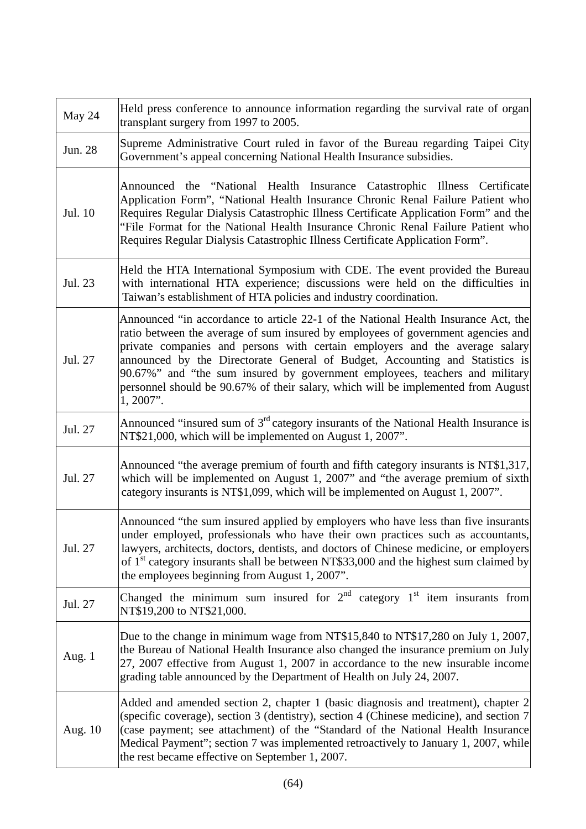| May 24   | Held press conference to announce information regarding the survival rate of organ<br>transplant surgery from 1997 to 2005.                                                                                                                                                                                                                                                                                                                                                                                              |
|----------|--------------------------------------------------------------------------------------------------------------------------------------------------------------------------------------------------------------------------------------------------------------------------------------------------------------------------------------------------------------------------------------------------------------------------------------------------------------------------------------------------------------------------|
| Jun. 28  | Supreme Administrative Court ruled in favor of the Bureau regarding Taipei City<br>Government's appeal concerning National Health Insurance subsidies.                                                                                                                                                                                                                                                                                                                                                                   |
| Jul. 10  | Announced the "National Health Insurance Catastrophic Illness Certificate<br>Application Form", "National Health Insurance Chronic Renal Failure Patient who<br>Requires Regular Dialysis Catastrophic Illness Certificate Application Form" and the<br>"File Format for the National Health Insurance Chronic Renal Failure Patient who<br>Requires Regular Dialysis Catastrophic Illness Certificate Application Form".                                                                                                |
| Jul. 23  | Held the HTA International Symposium with CDE. The event provided the Bureau<br>with international HTA experience; discussions were held on the difficulties in<br>Taiwan's establishment of HTA policies and industry coordination.                                                                                                                                                                                                                                                                                     |
| Jul. 27  | Announced "in accordance to article 22-1 of the National Health Insurance Act, the<br>ratio between the average of sum insured by employees of government agencies and<br>private companies and persons with certain employers and the average salary<br>announced by the Directorate General of Budget, Accounting and Statistics is<br>90.67%" and "the sum insured by government employees, teachers and military<br>personnel should be 90.67% of their salary, which will be implemented from August<br>$1,2007$ ". |
| Jul. 27  | Announced "insured sum of 3 <sup>rd</sup> category insurants of the National Health Insurance is<br>NT\$21,000, which will be implemented on August 1, 2007".                                                                                                                                                                                                                                                                                                                                                            |
| Jul. 27  | Announced "the average premium of fourth and fifth category insurants is NT\$1,317,<br>which will be implemented on August 1, 2007" and "the average premium of sixth<br>category insurants is NT\$1,099, which will be implemented on August 1, 2007".                                                                                                                                                                                                                                                                  |
| Jul. 27  | Announced "the sum insured applied by employers who have less than five insurants<br>under employed, professionals who have their own practices such as accountants,<br>lawyers, architects, doctors, dentists, and doctors of Chinese medicine, or employers<br>of $1st$ category insurants shall be between NT\$33,000 and the highest sum claimed by<br>the employees beginning from August 1, 2007".                                                                                                                 |
| Jul. 27  | Changed the minimum sum insured for $2^{nd}$ category $1^{st}$ item insurants from<br>NT\$19,200 to NT\$21,000.                                                                                                                                                                                                                                                                                                                                                                                                          |
| Aug. $1$ | Due to the change in minimum wage from NT\$15,840 to NT\$17,280 on July 1, 2007,<br>the Bureau of National Health Insurance also changed the insurance premium on July<br>27, 2007 effective from August 1, 2007 in accordance to the new insurable income<br>grading table announced by the Department of Health on July 24, 2007.                                                                                                                                                                                      |
| Aug. 10  | Added and amended section 2, chapter 1 (basic diagnosis and treatment), chapter 2<br>(specific coverage), section 3 (dentistry), section 4 (Chinese medicine), and section 7<br>(case payment; see attachment) of the "Standard of the National Health Insurance<br>Medical Payment"; section 7 was implemented retroactively to January 1, 2007, while<br>the rest became effective on September 1, 2007.                                                                                                               |